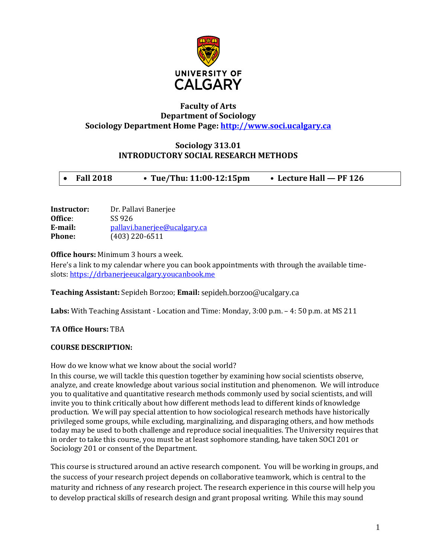

## **Faculty of Arts Department of Sociology Sociology Department Home Page: [http://www.soci.ucalgary.ca](http://www.soci.ucalgary.ca/)**

# **Sociology 313.01 INTRODUCTORY SOCIAL RESEARCH METHODS**

|  | <b>Fall 2018</b> | • Tue/Thu: $11:00-12:15 \text{pm}$ | • Lecture Hall — PF 126 |
|--|------------------|------------------------------------|-------------------------|
|--|------------------|------------------------------------|-------------------------|

| Dr. Pallavi Banerjee         |
|------------------------------|
| SS 926                       |
| pallavi.banerjee@ucalgary.ca |
| $(403)$ 220-6511             |
|                              |

**Office hours:** Minimum 3 hours a week.

Here's a link to my calendar where you can book appointments with through the available timeslots[: https://drbanerjeeucalgary.youcanbook.me](https://drbanerjeeucalgary.youcanbook.me/)

**Teaching Assistant:** Sepideh Borzoo; **Email:** sepideh.borzoo@ucalgary.ca

**Labs:** With Teaching Assistant - Location and Time: Monday, 3:00 p.m. – 4: 50 p.m. at MS 211

**TA Office Hours:** TBA

## **COURSE DESCRIPTION:**

How do we know what we know about the social world?

In this course, we will tackle this question together by examining how social scientists observe, analyze, and create knowledge about various social institution and phenomenon. We will introduce you to qualitative and quantitative research methods commonly used by social scientists, and will invite you to think critically about how different methods lead to different kinds of knowledge production. We will pay special attention to how sociological research methods have historically privileged some groups, while excluding, marginalizing, and disparaging others, and how methods today may be used to both challenge and reproduce social inequalities. The University requires that in order to take this course, you must be at least sophomore standing, have taken SOCI 201 or Sociology 201 or consent of the Department.

This course is structured around an active research component. You will be working in groups, and the success of your research project depends on collaborative teamwork, which is central to the maturity and richness of any research project. The research experience in this course will help you to develop practical skills of research design and grant proposal writing. While this may sound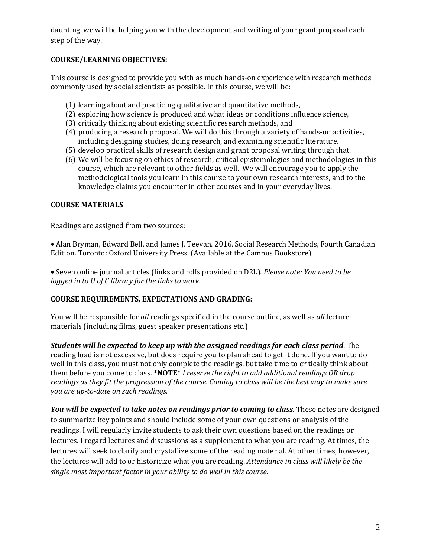daunting, we will be helping you with the development and writing of your grant proposal each step of the way.

# **COURSE/LEARNING OBJECTIVES:**

This course is designed to provide you with as much hands-on experience with research methods commonly used by social scientists as possible. In this course, we will be:

- (1) learning about and practicing qualitative and quantitative methods,
- (2) exploring how science is produced and what ideas or conditions influence science,
- (3) critically thinking about existing scientific research methods, and
- (4) producing a research proposal. We will do this through a variety of hands-on activities, including designing studies, doing research, and examining scientific literature.
- (5) develop practical skills of research design and grant proposal writing through that.
- (6) We will be focusing on ethics of research, critical epistemologies and methodologies in this course, which are relevant to other fields as well. We will encourage you to apply the methodological tools you learn in this course to your own research interests, and to the knowledge claims you encounter in other courses and in your everyday lives.

# **COURSE MATERIALS**

Readings are assigned from two sources:

• Alan Bryman, Edward Bell, and James J. Teevan. 2016. Social Research Methods, Fourth Canadian Edition. Toronto: Oxford University Press. (Available at the Campus Bookstore)

• Seven online journal articles (links and pdfs provided on D2L). *Please note: You need to be logged in to U of C library for the links to work.* 

# **COURSE REQUIREMENTS, EXPECTATIONS AND GRADING:**

You will be responsible for *all* readings specified in the course outline, as well as *all* lecture materials (including films, guest speaker presentations etc.)

*Students will be expected to keep up with the assigned readings for each class period*. The reading load is not excessive, but does require you to plan ahead to get it done. If you want to do well in this class, you must not only complete the readings, but take time to critically think about them before you come to class. **\*NOTE\*** *I reserve the right to add additional readings OR drop readings as they fit the progression of the course. Coming to class will be the best way to make sure you are up-to-date on such readings.* 

*You will be expected to take notes on readings prior to coming to class*. These notes are designed to summarize key points and should include some of your own questions or analysis of the readings. I will regularly invite students to ask their own questions based on the readings or lectures. I regard lectures and discussions as a supplement to what you are reading. At times, the lectures will seek to clarify and crystallize some of the reading material. At other times, however, the lectures will add to or historicize what you are reading. *Attendance in class will likely be the single most important factor in your ability to do well in this course.*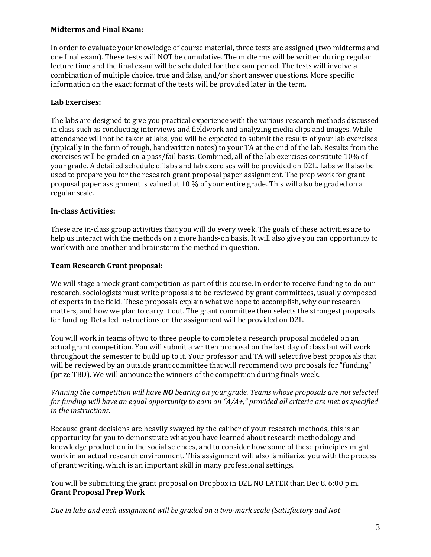## **Midterms and Final Exam:**

In order to evaluate your knowledge of course material, three tests are assigned (two midterms and one final exam). These tests will NOT be cumulative. The midterms will be written during regular lecture time and the final exam will be scheduled for the exam period. The tests will involve a combination of multiple choice, true and false, and/or short answer questions. More specific information on the exact format of the tests will be provided later in the term.

# **Lab Exercises:**

The labs are designed to give you practical experience with the various research methods discussed in class such as conducting interviews and fieldwork and analyzing media clips and images. While attendance will not be taken at labs, you will be expected to submit the results of your lab exercises (typically in the form of rough, handwritten notes) to your TA at the end of the lab. Results from the exercises will be graded on a pass/fail basis. Combined, all of the lab exercises constitute 10% of your grade. A detailed schedule of labs and lab exercises will be provided on D2L. Labs will also be used to prepare you for the research grant proposal paper assignment. The prep work for grant proposal paper assignment is valued at 10 % of your entire grade. This will also be graded on a regular scale.

# **In-class Activities:**

These are in-class group activities that you will do every week. The goals of these activities are to help us interact with the methods on a more hands-on basis. It will also give you can opportunity to work with one another and brainstorm the method in question.

# **Team Research Grant proposal:**

We will stage a mock grant competition as part of this course. In order to receive funding to do our research, sociologists must write proposals to be reviewed by grant committees, usually composed of experts in the field. These proposals explain what we hope to accomplish, why our research matters, and how we plan to carry it out. The grant committee then selects the strongest proposals for funding. Detailed instructions on the assignment will be provided on D2L.

You will work in teams of two to three people to complete a research proposal modeled on an actual grant competition. You will submit a written proposal on the last day of class but will work throughout the semester to build up to it. Your professor and TA will select five best proposals that will be reviewed by an outside grant committee that will recommend two proposals for "funding" (prize TBD). We will announce the winners of the competition during finals week.

## *Winning the competition will have NO bearing on your grade. Teams whose proposals are not selected for funding will have an equal opportunity to earn an "A/A+," provided all criteria are met as specified in the instructions.*

Because grant decisions are heavily swayed by the caliber of your research methods, this is an opportunity for you to demonstrate what you have learned about research methodology and knowledge production in the social sciences, and to consider how some of these principles might work in an actual research environment. This assignment will also familiarize you with the process of grant writing, which is an important skill in many professional settings.

You will be submitting the grant proposal on Dropbox in D2L NO LATER than Dec 8, 6:00 p.m. **Grant Proposal Prep Work** 

*Due in labs and each assignment will be graded on a two-mark scale (Satisfactory and Not*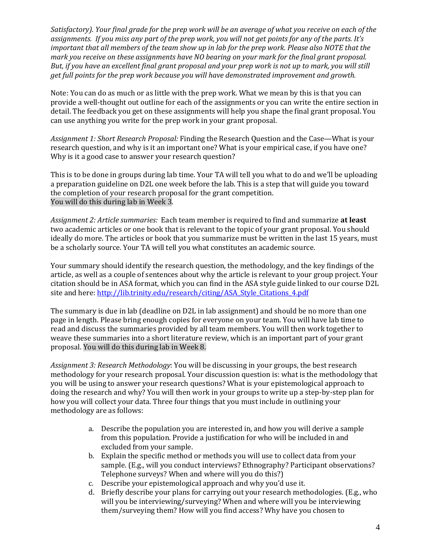*Satisfactory). Your final grade for the prep work will be an average of what you receive on each of the assignments. If you miss any part of the prep work, you will not get points for any of the parts. It's important that all members of the team show up in lab for the prep work. Please also NOTE that the mark you receive on these assignments have NO bearing on your mark for the final grant proposal. But, if you have an excellent final grant proposal and your prep work is not up to mark, you will still get full points for the prep work because you will have demonstrated improvement and growth.* 

Note: You can do as much or as little with the prep work. What we mean by this is that you can provide a well-thought out outline for each of the assignments or you can write the entire section in detail. The feedback you get on these assignments will help you shape the final grant proposal. You can use anything you write for the prep work in your grant proposal.

*Assignment 1: Short Research Proposal:* Finding the Research Question and the Case—What is your research question, and why is it an important one? What is your empirical case, if you have one? Why is it a good case to answer your research question?

This is to be done in groups during lab time. Your TA will tell you what to do and we'll be uploading a preparation guideline on D2L one week before the lab. This is a step that will guide you toward the completion of your research proposal for the grant competition. You will do this during lab in Week 3.

*Assignment 2: Article summaries:* Each team member is required to find and summarize **at least** two academic articles or one book that is relevant to the topic of your grant proposal. You should ideally do more. The articles or book that you summarize must be written in the last 15 years, must be a scholarly source. Your TA will tell you what constitutes an academic source.

Your summary should identify the research question, the methodology, and the key findings of the article, as well as a couple of sentences about why the article is relevant to your group project. Your citation should be in ASA format, which you can find in the ASA style guide linked to our course D2L site and here: [http://lib.trinity.edu/research/citing/ASA\\_Style\\_Citations\\_4.pdf](http://lib.trinity.edu/research/citing/ASA_Style_Citations_4.pdf)

The summary is due in lab (deadline on D2L in lab assignment) and should be no more than one page in length. Please bring enough copies for everyone on your team. You will have lab time to read and discuss the summaries provided by all team members. You will then work together to weave these summaries into a short literature review, which is an important part of your grant proposal. You will do this during lab in Week 8.

*Assignment 3: Research Methodology*: You will be discussing in your groups, the best research methodology for your research proposal. Your discussion question is: what is the methodology that you will be using to answer your research questions? What is your epistemological approach to doing the research and why? You will then work in your groups to write up a step-by-step plan for how you will collect your data. Three four things that you must include in outlining your methodology are as follows:

- a. Describe the population you are interested in, and how you will derive a sample from this population. Provide a justification for who will be included in and excluded from your sample.
- b. Explain the specific method or methods you will use to collect data from your sample. (E.g., will you conduct interviews? Ethnography? Participant observations? Telephone surveys? When and where will you do this?)
- c. Describe your epistemological approach and why you'd use it.
- d. Briefly describe your plans for carrying out your research methodologies. (E.g., who will you be interviewing/surveying? When and where will you be interviewing them/surveying them? How will you find access? Why have you chosen to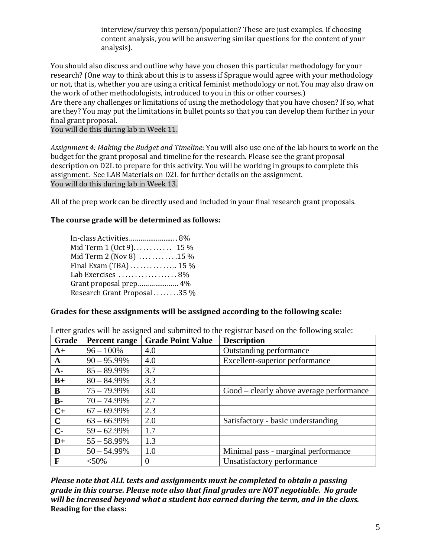interview/survey this person/population? These are just examples. If choosing content analysis, you will be answering similar questions for the content of your analysis).

You should also discuss and outline why have you chosen this particular methodology for your research? (One way to think about this is to assess if Sprague would agree with your methodology or not, that is, whether you are using a critical feminist methodology or not. You may also draw on the work of other methodologists, introduced to you in this or other courses.)

Are there any challenges or limitations of using the methodology that you have chosen? If so, what are they? You may put the limitations in bullet points so that you can develop them further in your final grant proposal.

You will do this during lab in Week 11.

*Assignment 4: Making the Budget and Timeline*: You will also use one of the lab hours to work on the budget for the grant proposal and timeline for the research. Please see the grant proposal description on D2L to prepare for this activity. You will be working in groups to complete this assignment. See LAB Materials on D2L for further details on the assignment. You will do this during lab in Week 13.

All of the prep work can be directly used and included in your final research grant proposals.

## **The course grade will be determined as follows:**

| In-class Activities 8%                          |  |
|-------------------------------------------------|--|
| Mid Term 1 (Oct 9). 15 %                        |  |
| Mid Term 2 (Nov 8) 15 %                         |  |
| Final Exam (TBA) $\dots\dots\dots\dots$ 15 $\%$ |  |
| Lab Exercises 8%                                |  |
| Grant proposal prep 4%                          |  |
| Research Grant Proposal 35 %                    |  |
|                                                 |  |

**B-**  $70 - 74.99\%$  2.7<br>**C+**  $67 - 69.99\%$  2.3

**C-**  $59 - 62.99\%$  1.7 **D**+  $55 - 58.99\%$  1.3

 $67 - 69.99\%$  2.3

## **Grades for these assignments will be assigned according to the following scale:**

| Grade |                | Percent range   Grade Point Value | <b>Description</b>             |
|-------|----------------|-----------------------------------|--------------------------------|
| $A+$  | $96 - 100\%$   | 4.0                               | Outstanding performance        |
| A     | $90 - 95.99\%$ | 4.0                               | Excellent-superior performance |
| A-    | $85 - 89.99\%$ | 3.7                               |                                |
| $B+$  | $80 - 84.99\%$ | 3.3                               |                                |

**B**  $\begin{array}{|l} 75 - 79.99\% \end{array}$  3.0 Good – clearly above average performance

 $\mathbf{C}$   $\begin{vmatrix} 63 - 66.99\% & 2.0 \end{vmatrix}$  Satisfactory - basic understanding

**F**  $| \leq 50\%$  0 Unsatisfactory performance

Letter grades will be assigned and submitted to the registrar based on the following scale:

*Please note that ALL tests and assignments must be completed to obtain a passing grade in this course. Please note also that final grades are NOT negotiable. No grade will be increased beyond what a student has earned during the term, and in the class.* **Reading for the class:** 

 $\mathbf{D}$  | 50 – 54.99% | 1.0 | Minimal pass - marginal performance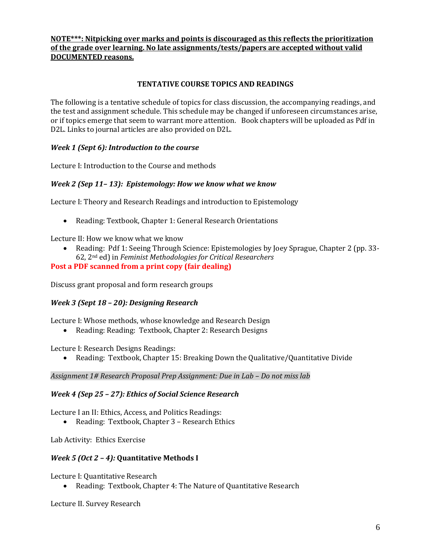## **NOTE\*\*\*: Nitpicking over marks and points is discouraged as this reflects the prioritization of the grade over learning. No late assignments/tests/papers are accepted without valid DOCUMENTED reasons.**

## **TENTATIVE COURSE TOPICS AND READINGS**

The following is a tentative schedule of topics for class discussion, the accompanying readings, and the test and assignment schedule. This schedule may be changed if unforeseen circumstances arise, or if topics emerge that seem to warrant more attention. Book chapters will be uploaded as Pdf in D2L. Links to journal articles are also provided on D2L.

## *Week 1 (Sept 6): Introduction to the course*

Lecture I: Introduction to the Course and methods

## *Week 2 (Sep 11– 13): Epistemology: How we know what we know*

Lecture I: Theory and Research Readings and introduction to Epistemology

• Reading: Textbook, Chapter 1: General Research Orientations

Lecture II: How we know what we know

• Reading: Pdf 1: Seeing Through Science: Epistemologies by Joey Sprague, Chapter 2 (pp. 33- 62, 2nd ed) in *Feminist Methodologies for Critical Researchers*

#### **Post a PDF scanned from a print copy (fair dealing)**

Discuss grant proposal and form research groups

## *Week 3 (Sept 18 – 20): Designing Research*

Lecture I: Whose methods, whose knowledge and Research Design

• Reading: Reading: Textbook, Chapter 2: Research Designs

Lecture I: Research Designs Readings:

• Reading: Textbook, Chapter 15: Breaking Down the Qualitative/Quantitative Divide

*Assignment 1# Research Proposal Prep Assignment: Due in Lab – Do not miss lab*

#### *Week 4 (Sep 25 – 27): Ethics of Social Science Research*

Lecture I an II: Ethics, Access, and Politics Readings:

• Reading: Textbook, Chapter 3 – Research Ethics

Lab Activity: Ethics Exercise

## *Week 5 (Oct 2 – 4):* **Quantitative Methods I**

Lecture I: Quantitative Research

• Reading: Textbook, Chapter 4: The Nature of Quantitative Research

Lecture II. Survey Research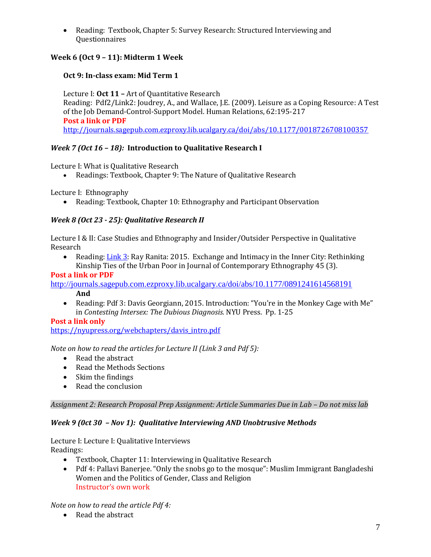• Reading: Textbook, Chapter 5: Survey Research: Structured Interviewing and Questionnaires

# **Week 6 (Oct 9 – 11): Midterm 1 Week**

# **Oct 9: In-class exam: Mid Term 1**

Lecture I: **Oct 11 –** Art of Quantitative Research Reading: Pdf2/Link2: Joudrey, A., and Wallace, J.E. (2009). Leisure as a Coping Resource: A Test of the Job Demand-Control-Support Model. Human Relations, 62:195-217 **Post a link or PDF** <http://journals.sagepub.com.ezproxy.lib.ucalgary.ca/doi/abs/10.1177/0018726708100357>

# *Week 7 (Oct 16 – 18):* **Introduction to Qualitative Research I**

Lecture I: What is Qualitative Research

• Readings: Textbook, Chapter 9: The Nature of Qualitative Research

Lecture I: Ethnography

• Reading: Textbook, Chapter 10: Ethnography and Participant Observation

# *Week 8 (Oct 23 - 25): Qualitative Research II*

Lecture I & II: Case Studies and Ethnography and Insider/Outsider Perspective in Qualitative Research<br>Represent

• Reading[: Link 3:](mailto:http://journals.sagepub.com/doi/abs/10.1177/0891241614568191) Ray Ranita: 2015. Exchange and Intimacy in the Inner City: Rethinking Kinship Ties of the Urban Poor in Journal of Contemporary Ethnography 45 (3).

## **Post a link or PDF**

<http://journals.sagepub.com.ezproxy.lib.ucalgary.ca/doi/abs/10.1177/0891241614568191> **And**

• Reading: Pdf 3: Davis Georgiann, 2015. Introduction: "You're in the Monkey Cage with Me" in *Contesting Intersex: The Dubious Diagnosis.* NYU Press. Pp. 1-25

# **Post a link only**

[https://nyupress.org/webchapters/davis\\_intro.pdf](https://nyupress.org/webchapters/davis_intro.pdf)

*Note on how to read the articles for Lecture II (Link 3 and Pdf 5):*

- Read the abstract
- Read the Methods Sections
- Skim the findings
- Read the conclusion

*Assignment 2: Research Proposal Prep Assignment: Article Summaries Due in Lab – Do not miss lab*

# *Week 9 (0ct 30 – Nov 1): Qualitative Interviewing AND Unobtrusive Methods*

Lecture I: Lecture I: Qualitative Interviews Readings:<br>
• Te

- Textbook, Chapter 11: Interviewing in Qualitative Research
- Pdf 4: Pallavi Banerjee. "Only the snobs go to the mosque": Muslim Immigrant Bangladeshi Women and the Politics of Gender, Class and Religion Instructor's own work

*Note on how to read the article Pdf 4:*

• Read the abstract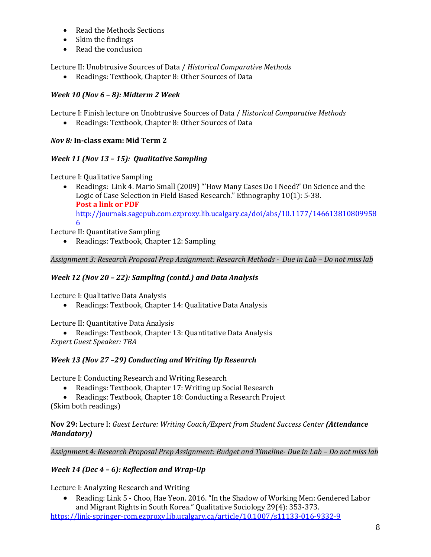- Read the Methods Sections
- Skim the findings
- Read the conclusion

Lecture II: Unobtrusive Sources of Data / *Historical Comparative Methods*

• Readings: Textbook, Chapter 8: Other Sources of Data

# *Week 10 (Nov 6 – 8): Midterm 2 Week*

Lecture I: Finish lecture on Unobtrusive Sources of Data / *Historical Comparative Methods*

• Readings: Textbook, Chapter 8: Other Sources of Data

# *Nov 8:* **In-class exam: Mid Term 2**

# *Week 11 (Nov 13 – 15): Qualitative Sampling*

Lecture I: Qualitative Sampling

• Readings: Link 4. Mario Small (2009) "'How Many Cases Do I Need?' On Science and the Logic of Case Selection in Field Based Research." Ethnography 10(1): 5-38. **Post a link or PDF** [http://journals.sagepub.com.ezproxy.lib.ucalgary.ca/doi/abs/10.1177/146613810809958](http://journals.sagepub.com.ezproxy.lib.ucalgary.ca/doi/abs/10.1177/1466138108099586) [6](http://journals.sagepub.com.ezproxy.lib.ucalgary.ca/doi/abs/10.1177/1466138108099586)

Lecture II: Quantitative Sampling

• Readings: Textbook, Chapter 12: Sampling

*Assignment 3: Research Proposal Prep Assignment: Research Methods - Due in Lab – Do not miss lab*

# *Week 12 (Nov 20 – 22): Sampling (contd.) and Data Analysis*

Lecture I: Qualitative Data Analysis

• Readings: Textbook, Chapter 14: Qualitative Data Analysis

Lecture II: Quantitative Data Analysis

• Readings: Textbook, Chapter 13: Quantitative Data Analysis *Expert Guest Speaker: TBA*

# *Week 13 (Nov 27 –29) Conducting and Writing Up Research*

Lecture I: Conducting Research and Writing Research

- Readings: Textbook, Chapter 17: Writing up Social Research
- Readings: Textbook, Chapter 18: Conducting a Research Project (Skim both readings)

**Nov 29:** Lecture I: *Guest Lecture: Writing Coach/Expert from Student Success Center (Attendance Mandatory)*

*Assignment 4: Research Proposal Prep Assignment: Budget and Timeline- Due in Lab – Do not miss lab*

# *Week 14 (Dec 4 – 6): Reflection and Wrap-Up*

Lecture I: Analyzing Research and Writing

• Reading: Link 5 - [Choo, Hae Yeon. 2016. "In the Shadow of Working Men: Gendered Labor](https://www.academia.edu/27059112/Choo_Hae_Yeon._2016._In_the_Shadow_of_Working_Men_Gendered_Labor_and_Migrant_Rights_in_South_Korea._Qualitative_Sociology_29_4_353-373)  [and Migrant Rights in South Korea." Qualitative Sociology 29\(4\): 353-373.](https://www.academia.edu/27059112/Choo_Hae_Yeon._2016._In_the_Shadow_of_Working_Men_Gendered_Labor_and_Migrant_Rights_in_South_Korea._Qualitative_Sociology_29_4_353-373)

<https://link-springer-com.ezproxy.lib.ucalgary.ca/article/10.1007/s11133-016-9332-9>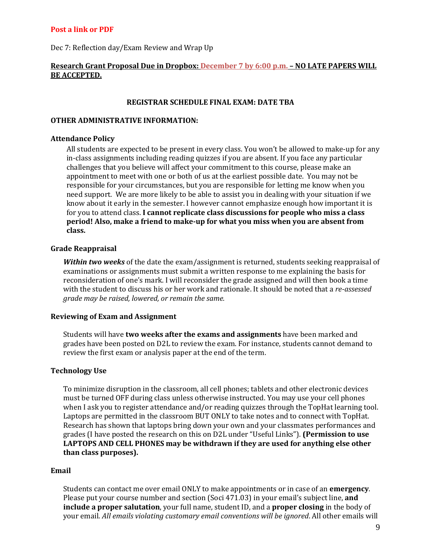#### **Post a link or PDF**

Dec 7: Reflection day/Exam Review and Wrap Up

## **Research Grant Proposal Due in Dropbox: December 7 by 6:00 p.m. – NO LATE PAPERS WILL BE ACCEPTED.**

#### **REGISTRAR SCHEDULE FINAL EXAM: DATE TBA**

#### **OTHER ADMINISTRATIVE INFORMATION:**

#### **Attendance Policy**

All students are expected to be present in every class. You won't be allowed to make-up for any in-class assignments including reading quizzes if you are absent. If you face any particular challenges that you believe will affect your commitment to this course, please make an appointment to meet with one or both of us at the earliest possible date. You may not be responsible for your circumstances, but you are responsible for letting me know when you need support. We are more likely to be able to assist you in dealing with your situation if we know about it early in the semester. I however cannot emphasize enough how important it is for you to attend class. **I cannot replicate class discussions for people who miss a class period! Also, make a friend to make-up for what you miss when you are absent from class.** 

#### **Grade Reappraisal**

*Within two weeks* of the date the exam/assignment is returned, students seeking reappraisal of examinations or assignments must submit a written response to me explaining the basis for reconsideration of one's mark. I will reconsider the grade assigned and will then book a time with the student to discuss his or her work and rationale. It should be noted that a *re-assessed grade may be raised, lowered, or remain the same.*

#### **Reviewing of Exam and Assignment**

Students will have **two weeks after the exams and assignments** have been marked and grades have been posted on D2L to review the exam. For instance, students cannot demand to review the first exam or analysis paper at the end of the term.

#### **Technology Use**

To minimize disruption in the classroom, all cell phones; tablets and other electronic devices must be turned OFF during class unless otherwise instructed. You may use your cell phones when I ask you to register attendance and/or reading quizzes through the TopHat learning tool. Laptops are permitted in the classroom BUT ONLY to take notes and to connect with TopHat. Research has shown that laptops bring down your own and your classmates performances and grades (I have posted the research on this on D2L under "Useful Links"). **(Permission to use LAPTOPS AND CELL PHONES may be withdrawn if they are used for anything else other than class purposes).**

#### **Email**

Students can contact me over email ONLY to make appointments or in case of an **emergency**. Please put your course number and section (Soci 471.03) in your email's subject line, **and include a proper salutation**, your full name, student ID, and a **proper closing** in the body of your email. *All emails violating customary email conventions will be ignored*. All other emails will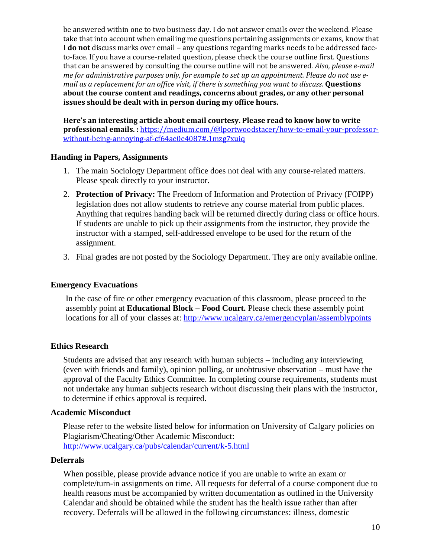be answered within one to two business day. I do not answer emails over the weekend. Please take that into account when emailing me questions pertaining assignments or exams, know that I **do not** discuss marks over email – any questions regarding marks needs to be addressed faceto-face. If you have a course-related question, please check the course outline first. Questions that can be answered by consulting the course outline will not be answered. *Also, please e-mail me for administrative purposes only, for example to set up an appointment. Please do not use email as a replacement for an office visit, if there is something you want to discuss.* **Questions about the course content and readings, concerns about grades, or any other personal issues should be dealt with in person during my office hours.**

**Here's an interesting article about email courtesy. Please read to know how to write professional emails. :** [https://medium.com/@lportwoodstacer/how-to-email-your-professor](https://medium.com/@lportwoodstacer/how-to-email-your-professor-without-being-annoying-af-cf64ae0e4087#.1mzg7xuiq)[without-being-annoying-af-cf64ae0e4087#.1mzg7xuiq](https://medium.com/@lportwoodstacer/how-to-email-your-professor-without-being-annoying-af-cf64ae0e4087#.1mzg7xuiq)

## **Handing in Papers, Assignments**

- 1. The main Sociology Department office does not deal with any course-related matters. Please speak directly to your instructor.
- 2. **Protection of Privacy:** The Freedom of Information and Protection of Privacy (FOIPP) legislation does not allow students to retrieve any course material from public places. Anything that requires handing back will be returned directly during class or office hours. If students are unable to pick up their assignments from the instructor, they provide the instructor with a stamped, self-addressed envelope to be used for the return of the assignment.
- 3. Final grades are not posted by the Sociology Department. They are only available online.

# **Emergency Evacuations**

In the case of fire or other emergency evacuation of this classroom, please proceed to the assembly point at **Educational Block – Food Court.** Please check these assembly point locations for all of your classes at:<http://www.ucalgary.ca/emergencyplan/assemblypoints>

## **Ethics Research**

Students are advised that any research with human subjects – including any interviewing (even with friends and family), opinion polling, or unobtrusive observation – must have the approval of the Faculty Ethics Committee. In completing course requirements, students must not undertake any human subjects research without discussing their plans with the instructor, to determine if ethics approval is required.

## **Academic Misconduct**

Please refer to the website listed below for information on University of Calgary policies on Plagiarism/Cheating/Other Academic Misconduct: <http://www.ucalgary.ca/pubs/calendar/current/k-5.html>

## **Deferrals**

When possible, please provide advance notice if you are unable to write an exam or complete/turn-in assignments on time. All requests for deferral of a course component due to health reasons must be accompanied by written documentation as outlined in the University Calendar and should be obtained while the student has the health issue rather than after recovery. Deferrals will be allowed in the following circumstances: illness, domestic